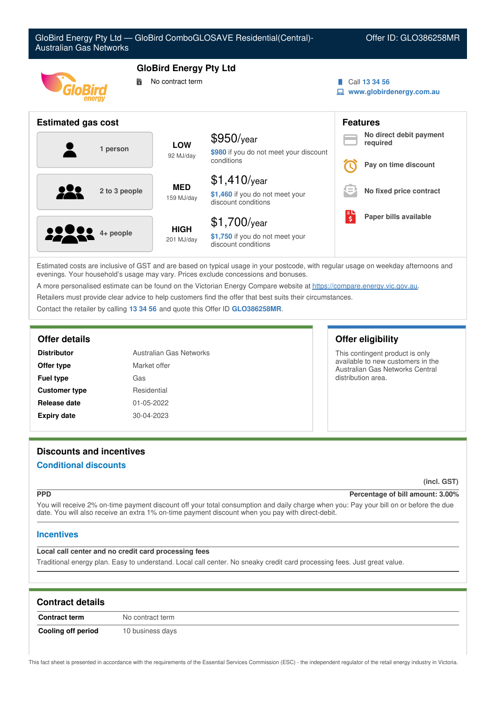

Estimated costs are inclusive of GST and are based on typical usage in your postcode, with regular usage on weekday afternoons and evenings. Your household's usage may vary. Prices exclude concessions and bonuses.

A more personalised estimate can be found on the Victorian Energy Compare website at <https://compare.energy.vic.gov.au>.

Retailers must provide clear advice to help customers find the offer that best suits their circumstances.

Contact the retailer by calling **13 34 56** and quote this Offer ID **GLO386258MR**.

| <b>Distributor</b>   | Australian Gas Networks |
|----------------------|-------------------------|
| Offer type           | Market offer            |
| <b>Fuel type</b>     | Gas                     |
| <b>Customer type</b> | Residential             |
| Release date         | 01-05-2022              |
| <b>Expiry date</b>   | 30-04-2023              |

### **Offer details Offer eligibility**

This contingent product is only available to new customers in the Australian Gas Networks Central distribution area.

# **Discounts and incentives**

## **Conditional discounts**

**(incl. GST)**

#### **PPD Percentage of bill amount: 3.00%**

You will receive 2% on-time payment discount off your total consumption and daily charge when you: Pay your bill on or before the due date. You will also receive an extra 1% on-time payment discount when you pay with direct-debit.

# **Incentives**

### **Local call center and no credit card processing fees**

Traditional energy plan. Easy to understand. Local call center. No sneaky credit card processing fees. Just great value.

| <b>Contract details</b>   |                  |  |
|---------------------------|------------------|--|
| <b>Contract term</b>      | No contract term |  |
| <b>Cooling off period</b> | 10 business days |  |

This fact sheet is presented in accordance with the requirements of the Essential Services Commission (ESC) - the independent regulator of the retail energy industry in Victoria.